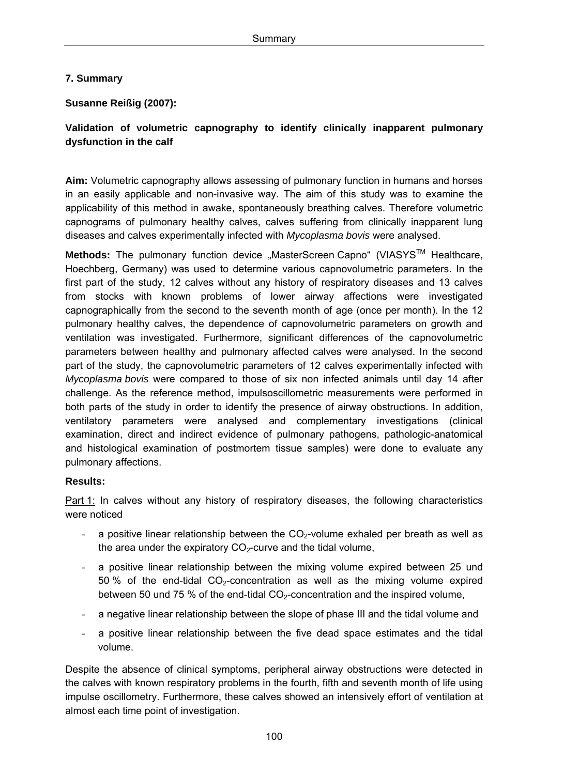## **7. Summary**

## **Susanne Reißig (2007):**

## **Validation of volumetric capnography to identify clinically inapparent pulmonary dysfunction in the calf**

**Aim:** Volumetric capnography allows assessing of pulmonary function in humans and horses in an easily applicable and non-invasive way. The aim of this study was to examine the applicability of this method in awake, spontaneously breathing calves. Therefore volumetric capnograms of pulmonary healthy calves, calves suffering from clinically inapparent lung diseases and calves experimentally infected with *Mycoplasma bovis* were analysed.

Methods: The pulmonary function device "MasterScreen Capno" (VIASYS<sup>™</sup> Healthcare, Hoechberg, Germany) was used to determine various capnovolumetric parameters. In the first part of the study, 12 calves without any history of respiratory diseases and 13 calves from stocks with known problems of lower airway affections were investigated capnographically from the second to the seventh month of age (once per month). In the 12 pulmonary healthy calves, the dependence of capnovolumetric parameters on growth and ventilation was investigated. Furthermore, significant differences of the capnovolumetric parameters between healthy and pulmonary affected calves were analysed. In the second part of the study, the capnovolumetric parameters of 12 calves experimentally infected with *Mycoplasma bovis* were compared to those of six non infected animals until day 14 after challenge. As the reference method, impulsoscillometric measurements were performed in both parts of the study in order to identify the presence of airway obstructions. In addition, ventilatory parameters were analysed and complementary investigations (clinical examination, direct and indirect evidence of pulmonary pathogens, pathologic-anatomical and histological examination of postmortem tissue samples) were done to evaluate any pulmonary affections.

## **Results:**

Part 1: In calves without any history of respiratory diseases, the following characteristics were noticed

- a positive linear relationship between the  $CO<sub>2</sub>$ -volume exhaled per breath as well as the area under the expiratory  $CO<sub>2</sub>$ -curve and the tidal volume,
- a positive linear relationship between the mixing volume expired between 25 und 50 % of the end-tidal  $CO<sub>2</sub>$ -concentration as well as the mixing volume expired between 50 und 75 % of the end-tidal  $CO<sub>2</sub>$ -concentration and the inspired volume,
- a negative linear relationship between the slope of phase III and the tidal volume and
- a positive linear relationship between the five dead space estimates and the tidal volume.

Despite the absence of clinical symptoms, peripheral airway obstructions were detected in the calves with known respiratory problems in the fourth, fifth and seventh month of life using impulse oscillometry. Furthermore, these calves showed an intensively effort of ventilation at almost each time point of investigation.